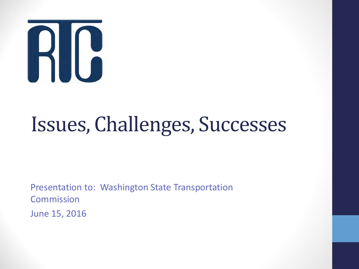

# Issues, Challenges, Successes

Presentation to: Washington State Transportation **Commission** June 15, 2016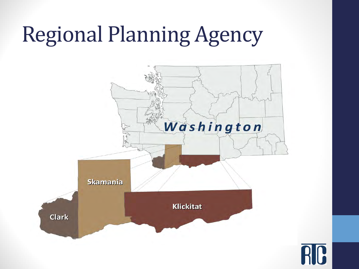# Regional Planning Agency

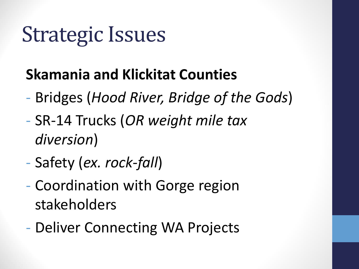# Strategic Issues

## **Skamania and Klickitat Counties**

- Bridges (*Hood River, Bridge of the Gods*)
- SR-14 Trucks (*OR weight mile tax diversion*)
- Safety (*ex. rock-fall*)
- Coordination with Gorge region stakeholders
- Deliver Connecting WA Projects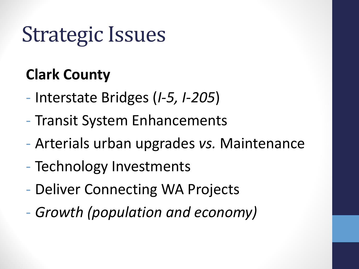# Strategic Issues

## **Clark County**

- Interstate Bridges (*I-5, I-205*)
- Transit System Enhancements
- Arterials urban upgrades *vs.* Maintenance
- Technology Investments
- Deliver Connecting WA Projects
- *Growth (population and economy)*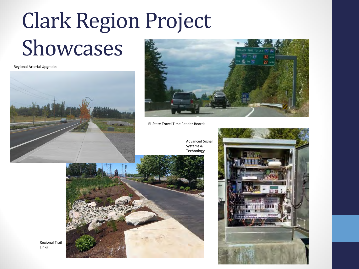# Clark Region Project Showcases

Regional Arterial Upgrades





Bi-State Travel Time Reader Boards



Advanced Signal Systems & Technology



Regional Trail Links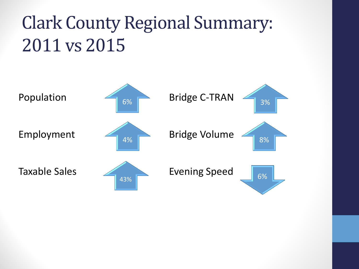## Clark County Regional Summary: 2011 vs 2015

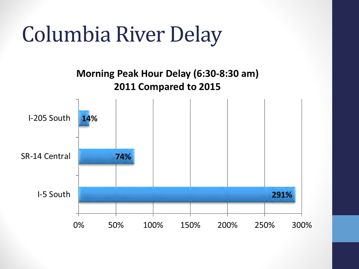# Columbia River Delay

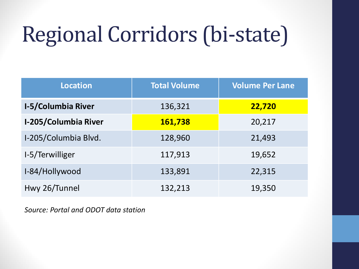# Regional Corridors (bi-state)

| <b>Location</b>             | <b>Total Volume</b> | <b>Volume Per Lane</b> |
|-----------------------------|---------------------|------------------------|
| <b>I-5/Columbia River</b>   | 136,321             | 22,720                 |
| <b>I-205/Columbia River</b> | 161,738             | 20,217                 |
| I-205/Columbia Blvd.        | 128,960             | 21,493                 |
| I-5/Terwilliger             | 117,913             | 19,652                 |
| I-84/Hollywood              | 133,891             | 22,315                 |
| Hwy 26/Tunnel               | 132,213             | 19,350                 |

*Source: Portal and ODOT data station*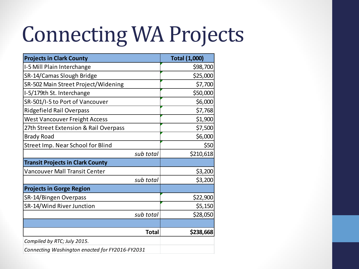# Connecting WA Projects

| <b>Projects in Clark County</b>                 | <b>Total (1,000)</b> |
|-------------------------------------------------|----------------------|
| I-5 Mill Plain Interchange                      | \$98,700             |
| SR-14/Camas Slough Bridge                       | \$25,000             |
| SR-502 Main Street Project/Widening             | \$7,700              |
| I-5/179th St. Interchange                       | \$50,000             |
| SR-501/I-5 to Port of Vancouver                 | \$6,000              |
| Ridgefield Rail Overpass                        | \$7,768              |
| <b>West Vancouver Freight Access</b>            | \$1,900              |
| 27th Street Extension & Rail Overpass           | \$7,500              |
| <b>Brady Road</b>                               | \$6,000              |
| Street Imp. Near School for Blind               | \$50                 |
| sub total                                       | \$210,618            |
| <b>Transit Projects in Clark County</b>         |                      |
| <b>Vancouver Mall Transit Center</b>            | \$3,200              |
| sub total                                       | \$3,200              |
| <b>Projects in Gorge Region</b>                 |                      |
| SR-14/Bingen Overpass                           | \$22,900             |
| SR-14/Wind River Junction                       | \$5,150              |
| sub total                                       | \$28,050             |
|                                                 |                      |
| <b>Total</b>                                    | \$238,668            |
| Compiled by RTC; July 2015.                     |                      |
| Connecting Washington enacted for FY2016-FY2031 |                      |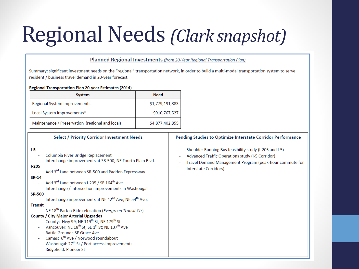# Regional Needs *(Clark snapshot)*

#### **Planned Regional Investments** (from 20-Year Regional Transportation Plan)

Summary: significant investment needs on the "regional" transportation network, in order to build a multi-modal transportation system to serve resident / business travel demand in 20-vear forecast.

#### Regional Transportation Plan 20-year Estimates (2014)

| System                                          | <b>Need</b>     |
|-------------------------------------------------|-----------------|
| <b>Regional System Improvements</b>             | \$1,779,191,883 |
| Local System Improvements*                      | \$910,767,527   |
| Maintenance / Preservation (regional and local) | \$4,877,402,855 |

#### Select / Priority Corridor Investment Needs

#### $1-5$

- Columbia River Bridge Replacement
- Interchange improvements at SR-500; NE Fourth Plain Blvd.

#### $1-205$

Add 3rd Lane between SR-500 and Padden Expressway

#### **SR-14**

- Add 3rd Lane between I-205 / SE 164<sup>th</sup> Ave
- Interchange / intersection improvements in Washougal

#### **SR-500**

Interchange improvements at NE 42<sup>nd</sup> Ave; NE 54<sup>th</sup> Ave.

#### **Transit**

NE 18<sup>th</sup> Park-n-Ride relocation (Evergreen Transit Ctr) a.

#### **County / City Major Arterial Upgrades**

- County: Hwy 99; NE 119<sup>th</sup> St; NE 179<sup>th</sup> St
- Vancouver: NE 18<sup>th</sup> St; SE 1<sup>st</sup> St; NE 137<sup>th</sup> Ave
- Battle Ground: SE Grace Ave
- Camas: 6<sup>th</sup> Ave / Norwood roundabout
- Washougal: 27<sup>th</sup> St / Port access improvements
- Ridgefield: Pioneer St

#### Pending Studies to Optimize Interstate Corridor Performance

- Shoulder Running Bus feasibility study (I-205 and I-5)
- Advanced Traffic Operations study (I-5 Corridor)
- Travel Demand Management Program (peak-hour commute for Interstate Corridors)